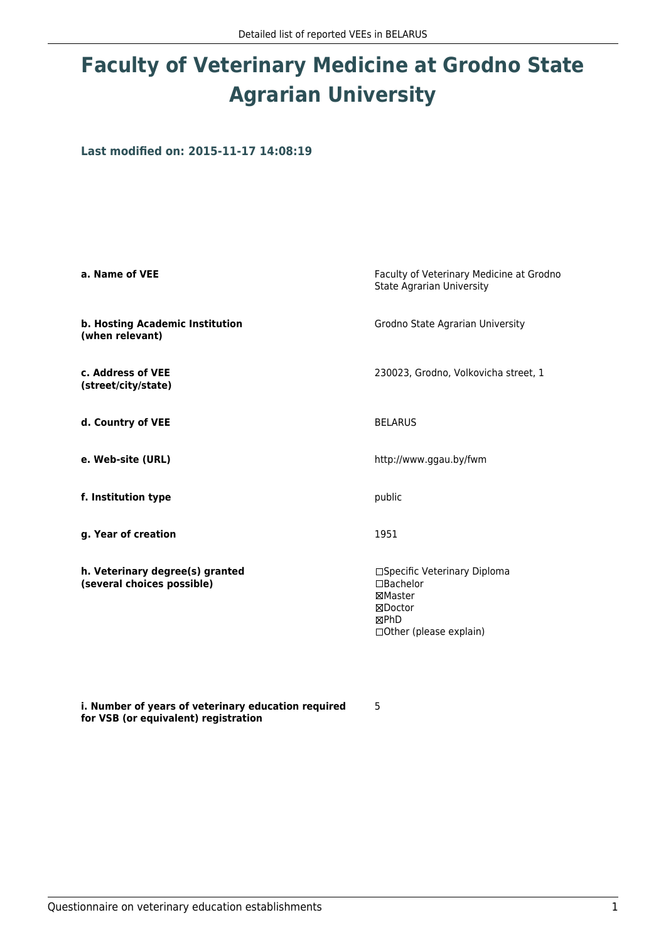# **Faculty of Veterinary Medicine at Grodno State Agrarian University**

**Last modified on: 2015-11-17 14:08:19**

| a. Name of VEE                                                | Faculty of Veterinary Medicine at Grodno<br><b>State Agrarian University</b>                              |  |
|---------------------------------------------------------------|-----------------------------------------------------------------------------------------------------------|--|
| b. Hosting Academic Institution<br>(when relevant)            | Grodno State Agrarian University                                                                          |  |
| c. Address of VEE<br>(street/city/state)                      | 230023, Grodno, Volkovicha street, 1                                                                      |  |
| d. Country of VEE                                             | <b>BELARUS</b>                                                                                            |  |
| e. Web-site (URL)                                             | http://www.ggau.by/fwm                                                                                    |  |
| f. Institution type                                           | public                                                                                                    |  |
| g. Year of creation                                           | 1951                                                                                                      |  |
| h. Veterinary degree(s) granted<br>(several choices possible) | □Specific Veterinary Diploma<br>$\Box$ Bachelor<br>⊠Master<br>⊠Doctor<br>⊠PhD<br>□ Other (please explain) |  |

**i. Number of years of veterinary education required for VSB (or equivalent) registration**

5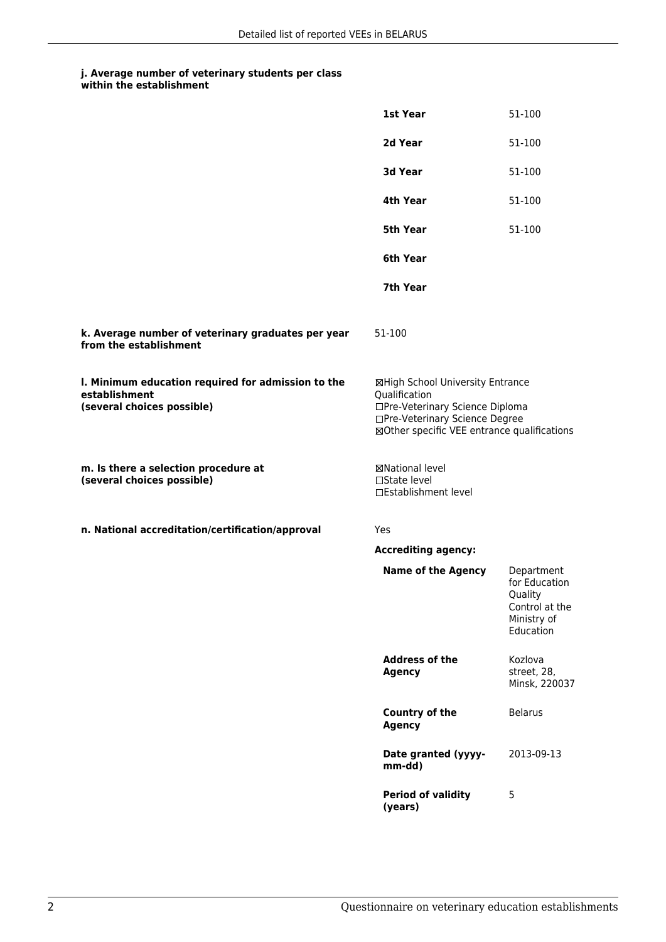### **j. Average number of veterinary students per class within the establishment**

|                                                                                                   | 1st Year                                                                                                                                                              | 51-100                                                                               |
|---------------------------------------------------------------------------------------------------|-----------------------------------------------------------------------------------------------------------------------------------------------------------------------|--------------------------------------------------------------------------------------|
|                                                                                                   | 2d Year                                                                                                                                                               | 51-100                                                                               |
|                                                                                                   | 3d Year                                                                                                                                                               | 51-100                                                                               |
|                                                                                                   | 4th Year                                                                                                                                                              | 51-100                                                                               |
|                                                                                                   | <b>5th Year</b>                                                                                                                                                       | 51-100                                                                               |
|                                                                                                   | 6th Year                                                                                                                                                              |                                                                                      |
|                                                                                                   | 7th Year                                                                                                                                                              |                                                                                      |
| k. Average number of veterinary graduates per year<br>from the establishment                      | 51-100                                                                                                                                                                |                                                                                      |
| I. Minimum education required for admission to the<br>establishment<br>(several choices possible) | ⊠High School University Entrance<br>Qualification<br>□Pre-Veterinary Science Diploma<br>□Pre-Veterinary Science Degree<br>⊠Other specific VEE entrance qualifications |                                                                                      |
| m. Is there a selection procedure at<br>(several choices possible)                                | ⊠National level<br>□State level<br>□Establishment level                                                                                                               |                                                                                      |
| n. National accreditation/certification/approval                                                  | Yes                                                                                                                                                                   |                                                                                      |
|                                                                                                   | <b>Accrediting agency:</b>                                                                                                                                            |                                                                                      |
|                                                                                                   | <b>Name of the Agency</b>                                                                                                                                             | Department<br>for Education<br>Quality<br>Control at the<br>Ministry of<br>Education |
|                                                                                                   | <b>Address of the</b><br><b>Agency</b>                                                                                                                                | Kozlova<br>street, 28,<br>Minsk, 220037                                              |
|                                                                                                   | <b>Country of the</b><br><b>Agency</b>                                                                                                                                | <b>Belarus</b>                                                                       |
|                                                                                                   | Date granted (yyyy-<br>mm-dd)                                                                                                                                         | 2013-09-13                                                                           |
|                                                                                                   | <b>Period of validity</b><br>(years)                                                                                                                                  | 5                                                                                    |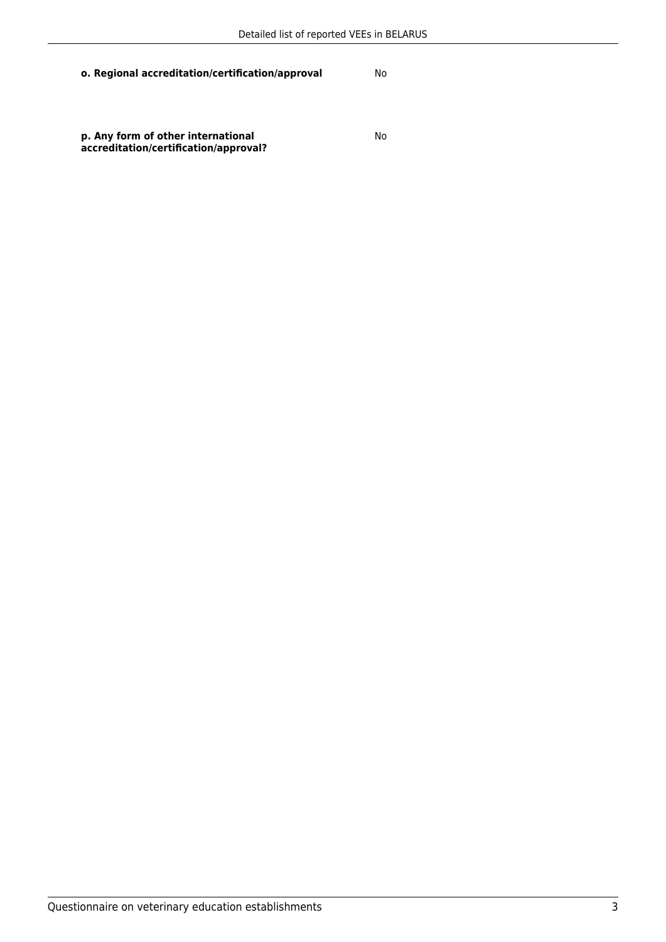**o. Regional accreditation/certification/approval** No

**p. Any form of other international accreditation/certification/approval?** No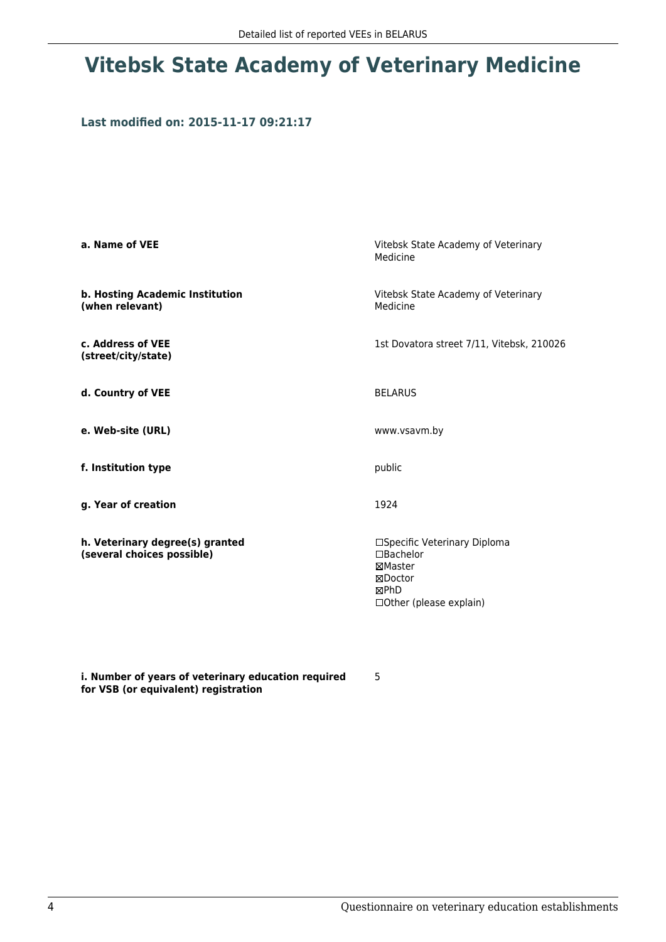## **Vitebsk State Academy of Veterinary Medicine**

### **Last modified on: 2015-11-17 09:21:17**

| a. Name of VEE                                                | Vitebsk State Academy of Veterinary<br>Medicine                                                                  |  |
|---------------------------------------------------------------|------------------------------------------------------------------------------------------------------------------|--|
| b. Hosting Academic Institution<br>(when relevant)            | Vitebsk State Academy of Veterinary<br>Medicine                                                                  |  |
| c. Address of VEE<br>(street/city/state)                      | 1st Dovatora street 7/11, Vitebsk, 210026                                                                        |  |
| d. Country of VEE                                             | <b>BELARUS</b>                                                                                                   |  |
| e. Web-site (URL)                                             | www.vsavm.by                                                                                                     |  |
| f. Institution type                                           | public                                                                                                           |  |
| g. Year of creation                                           | 1924                                                                                                             |  |
| h. Veterinary degree(s) granted<br>(several choices possible) | □Specific Veterinary Diploma<br>$\Box$ Bachelor<br>⊠Master<br>⊠Doctor<br><b>MPhD</b><br>□ Other (please explain) |  |

**i. Number of years of veterinary education required for VSB (or equivalent) registration**

5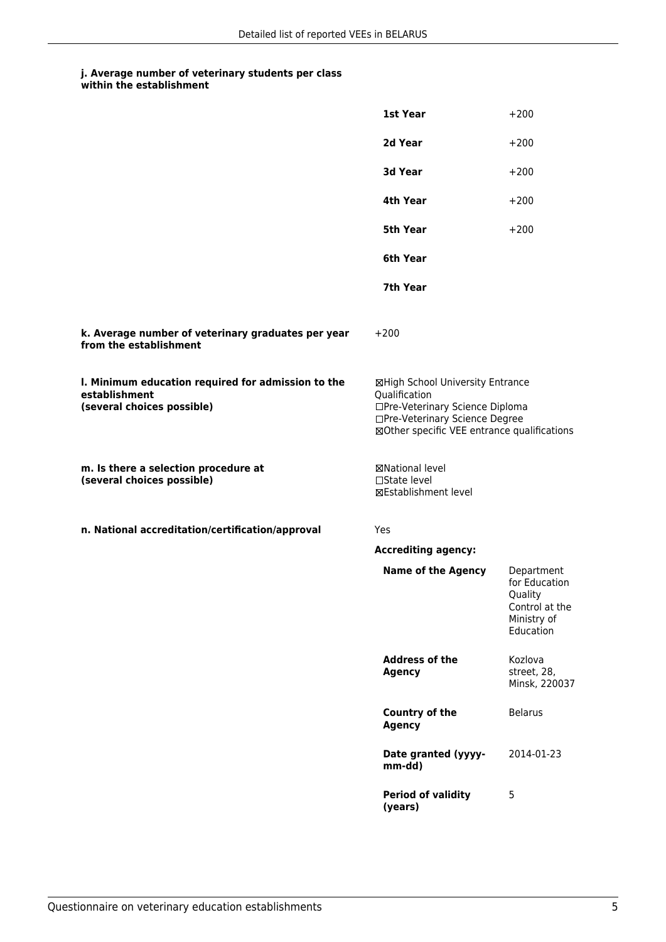### **j. Average number of veterinary students per class within the establishment**

|                                                                                                   | 1st Year                                                                                                                                                              | $+200$                                                                               |
|---------------------------------------------------------------------------------------------------|-----------------------------------------------------------------------------------------------------------------------------------------------------------------------|--------------------------------------------------------------------------------------|
|                                                                                                   | 2d Year                                                                                                                                                               | $+200$                                                                               |
|                                                                                                   | 3d Year                                                                                                                                                               | $+200$                                                                               |
|                                                                                                   | 4th Year                                                                                                                                                              | $+200$                                                                               |
|                                                                                                   | 5th Year                                                                                                                                                              | $+200$                                                                               |
|                                                                                                   | 6th Year                                                                                                                                                              |                                                                                      |
|                                                                                                   | 7th Year                                                                                                                                                              |                                                                                      |
| k. Average number of veterinary graduates per year<br>from the establishment                      | $+200$                                                                                                                                                                |                                                                                      |
| I. Minimum education required for admission to the<br>establishment<br>(several choices possible) | ⊠High School University Entrance<br>Qualification<br>□Pre-Veterinary Science Diploma<br>□Pre-Veterinary Science Degree<br>⊠Other specific VEE entrance qualifications |                                                                                      |
| m. Is there a selection procedure at<br>(several choices possible)                                | ⊠National level<br>□State level<br>⊠Establishment level                                                                                                               |                                                                                      |
| n. National accreditation/certification/approval                                                  | Yes                                                                                                                                                                   |                                                                                      |
|                                                                                                   | <b>Accrediting agency:</b>                                                                                                                                            |                                                                                      |
|                                                                                                   | <b>Name of the Agency</b>                                                                                                                                             | Department<br>for Education<br>Quality<br>Control at the<br>Ministry of<br>Education |
|                                                                                                   | <b>Address of the</b><br><b>Agency</b>                                                                                                                                | Kozlova<br>street, 28,<br>Minsk, 220037                                              |
|                                                                                                   | <b>Country of the</b><br><b>Agency</b>                                                                                                                                | <b>Belarus</b>                                                                       |
|                                                                                                   | Date granted (yyyy-<br>mm-dd)                                                                                                                                         | 2014-01-23                                                                           |
|                                                                                                   | <b>Period of validity</b><br>(years)                                                                                                                                  | 5                                                                                    |